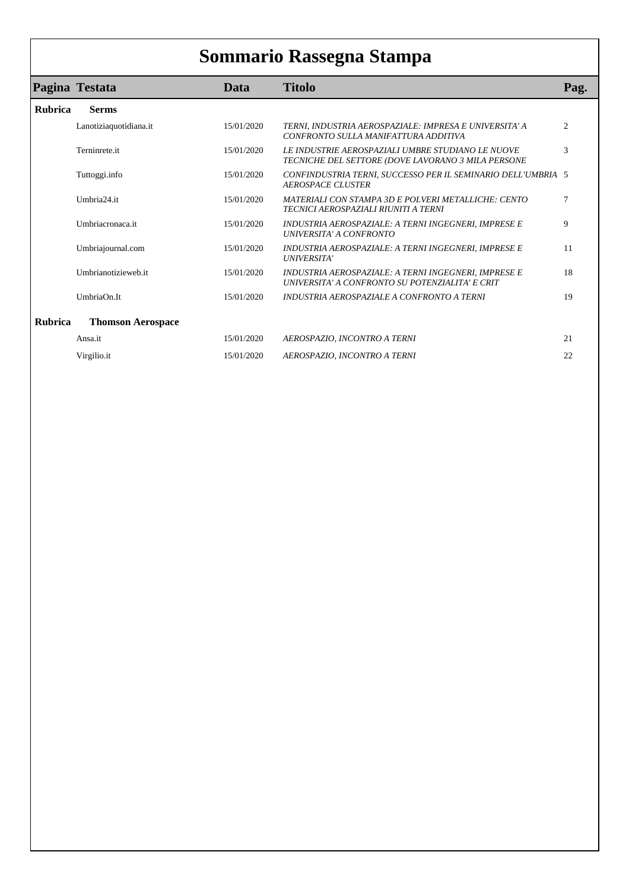# **Sommario Rassegna Stampa**

|                | Pagina Testata           | Data       | <b>Titolo</b>                                                                                           | Pag.           |
|----------------|--------------------------|------------|---------------------------------------------------------------------------------------------------------|----------------|
| <b>Rubrica</b> | <b>Serms</b>             |            |                                                                                                         |                |
|                | Lanotiziaquotidiana.it   | 15/01/2020 | TERNI. INDUSTRIA AEROSPAZIALE: IMPRESA E UNIVERSITA' A<br>CONFRONTO SULLA MANIFATTURA ADDITIVA          | $\mathfrak{D}$ |
|                | Terninrete.it            | 15/01/2020 | LE INDUSTRIE AEROSPAZIALI UMBRE STUDIANO LE NUOVE<br>TECNICHE DEL SETTORE (DOVE LAVORANO 3 MILA PERSONE | 3              |
|                | Tuttoggi.info            | 15/01/2020 | CONFINDUSTRIA TERNI, SUCCESSO PER IL SEMINARIO DELL'UMBRIA 5<br><b>AEROSPACE CLUSTER</b>                |                |
|                | Umbria24.it              | 15/01/2020 | MATERIALI CON STAMPA 3D E POLVERI METALLICHE: CENTO<br>TECNICI AEROSPAZIALI RIUNITI A TERNI             | 7              |
|                | Umbriacronaca.it         | 15/01/2020 | INDUSTRIA AEROSPAZIALE: A TERNI INGEGNERI, IMPRESE E<br>UNIVERSITA' A CONFRONTO                         | 9              |
|                | Umbriajournal.com        | 15/01/2020 | INDUSTRIA AEROSPAZIALE: A TERNI INGEGNERI, IMPRESE E<br><b>UNIVERSITA'</b>                              | 11             |
|                | Umbrianotizieweb.it      | 15/01/2020 | INDUSTRIA AEROSPAZIALE: A TERNI INGEGNERI. IMPRESE E<br>UNIVERSITA' A CONFRONTO SU POTENZIALITA' E CRIT | 18             |
|                | UmbriaOn.It              | 15/01/2020 | INDUSTRIA AEROSPAZIALE A CONFRONTO A TERNI                                                              | 19             |
| <b>Rubrica</b> | <b>Thomson Aerospace</b> |            |                                                                                                         |                |
|                | Ansa.it                  | 15/01/2020 | AEROSPAZIO, INCONTRO A TERNI                                                                            | 21             |
|                | Virgilio.it              | 15/01/2020 | AEROSPAZIO, INCONTRO A TERNI                                                                            | 22             |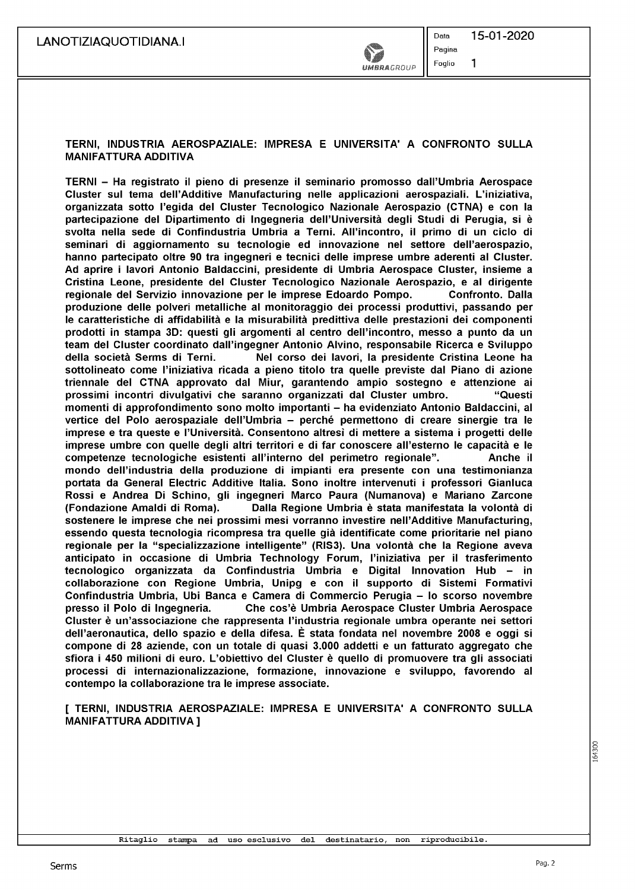

 $\mathbf{1}$ 

Pagina Foglio

Data

TERNI. INDUSTRIA AEROSPAZIALE: IMPRESA E UNIVERSITA' A CONFRONTO SULLA **MANIFATTURA ADDITIVA** 

TERNI - Ha registrato il pieno di presenze il seminario promosso dall'Umbria Aerospace Cluster sul tema dell'Additive Manufacturing nelle applicazioni aerospaziali. L'iniziativa, organizzata sotto l'egida del Cluster Tecnologico Nazionale Aerospazio (CTNA) e con la partecipazione del Dipartimento di Ingegneria dell'Università degli Studi di Perugia, si è svolta nella sede di Confindustria Umbria a Terni. All'incontro, il primo di un ciclo di seminari di aggiornamento su tecnologie ed innovazione nel settore dell'aerospazio. hanno partecipato oltre 90 tra ingegneri e tecnici delle imprese umbre aderenti al Cluster. Ad aprire i lavori Antonio Baldaccini, presidente di Umbria Aerospace Cluster, insieme a Cristina Leone, presidente del Cluster Tecnologico Nazionale Aerospazio, e al dirigente regionale del Servizio innovazione per le imprese Edoardo Pompo. **Confronto, Dalla** produzione delle polveri metalliche al monitoraggio dei processi produttivi, passando per le caratteristiche di affidabilità e la misurabilità predittiva delle prestazioni dei componenti prodotti in stampa 3D: questi gli argomenti al centro dell'incontro, messo a punto da un team del Cluster coordinato dall'ingegner Antonio Alvino, responsabile Ricerca e Sviluppo della società Serms di Terni. Nel corso dei lavori, la presidente Cristina Leone ha sottolineato come l'iniziativa ricada a pieno titolo tra quelle previste dal Piano di azione triennale del CTNA approvato dal Miur, garantendo ampio sostegno e attenzione ai prossimi incontri divulgativi che saranno organizzati dal Cluster umbro. "Questi momenti di approfondimento sono molto importanti - ha evidenziato Antonio Baldaccini, al vertice del Polo aerospaziale dell'Umbria - perché permettono di creare sinergie tra le imprese e tra queste e l'Università. Consentono altresì di mettere a sistema i progetti delle imprese umbre con quelle degli altri territori e di far conoscere all'esterno le capacità e le competenze tecnologiche esistenti all'interno del perimetro regionale". Anche il mondo dell'industria della produzione di impianti era presente con una testimonianza portata da General Electric Additive Italia. Sono inoltre intervenuti i professori Gianluca Rossi e Andrea Di Schino, gli ingegneri Marco Paura (Numanova) e Mariano Zarcone (Fondazione Amaldi di Roma). Dalla Regione Umbria è stata manifestata la volontà di sostenere le imprese che nei prossimi mesi vorranno investire nell'Additive Manufacturing. essendo questa tecnologia ricompresa tra quelle già identificate come prioritarie nel piano regionale per la "specializzazione intelligente" (RIS3). Una volontà che la Regione aveva anticipato in occasione di Umbria Technology Forum, l'iniziativa per il trasferimento tecnologico organizzata da Confindustria Umbria e Digital Innovation Hub - in collaborazione con Regione Umbria, Unipg e con il supporto di Sistemi Formativi Confindustria Umbria, Ubi Banca e Camera di Commercio Perugia - lo scorso novembre presso il Polo di Ingegneria. Che cos'è Umbria Aerospace Cluster Umbria Aerospace Cluster è un'associazione che rappresenta l'industria regionale umbra operante nei settori dell'aeronautica, dello spazio e della difesa. È stata fondata nel novembre 2008 e oggi si compone di 28 aziende, con un totale di quasi 3.000 addetti e un fatturato aggregato che sfiora i 450 milioni di euro. L'obiettivo del Cluster è quello di promuovere tra gli associati processi di internazionalizzazione, formazione, innovazione e sviluppo, favorendo al contempo la collaborazione tra le imprese associate.

[ TERNI, INDUSTRIA AEROSPAZIALE: IMPRESA E UNIVERSITA' A CONFRONTO SULLA **MANIFATTURA ADDITIVA 1**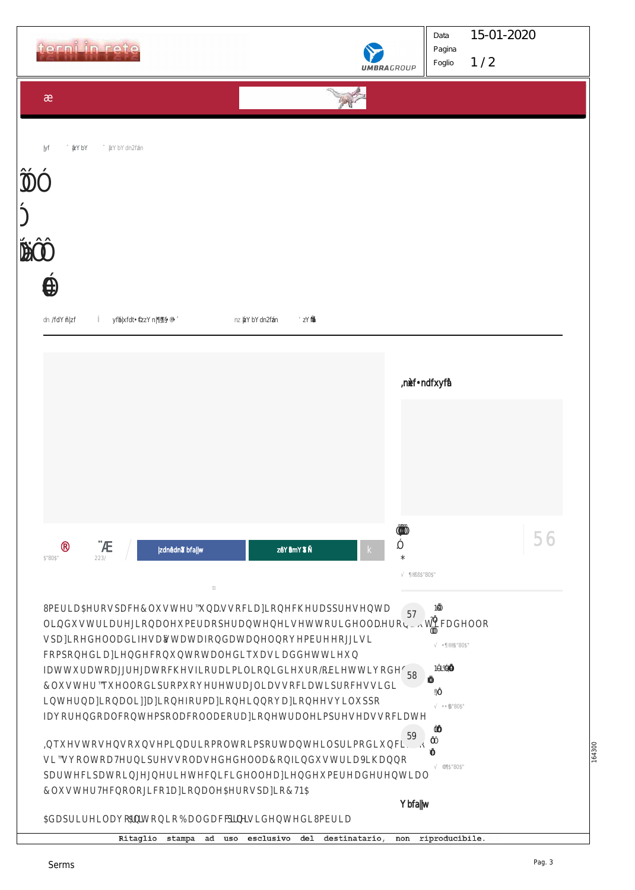<span id="page-2-0"></span>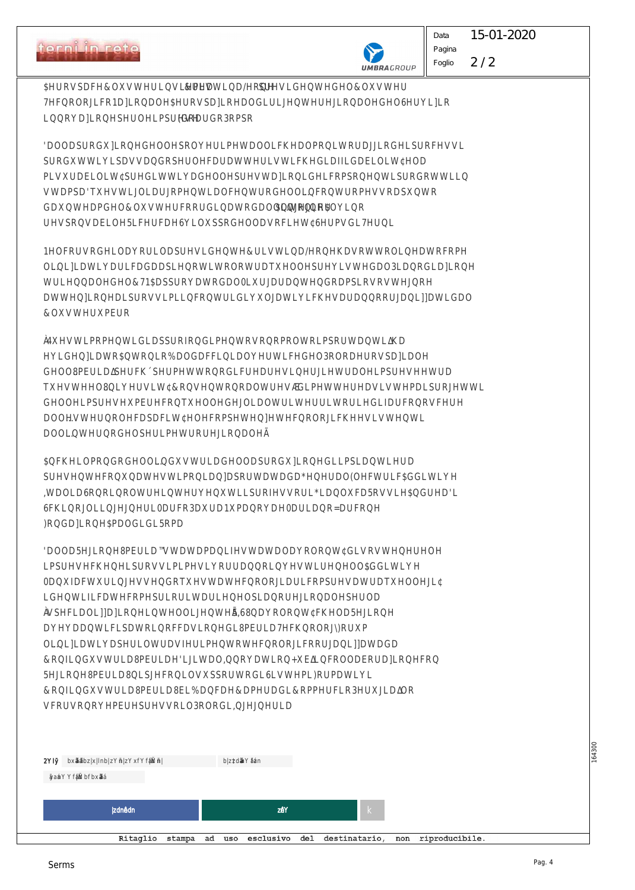



 $2/2$ Pagina Foglio

Data

Ritaglio stampa ad uso esclusivo del destinatario, non riproducibile.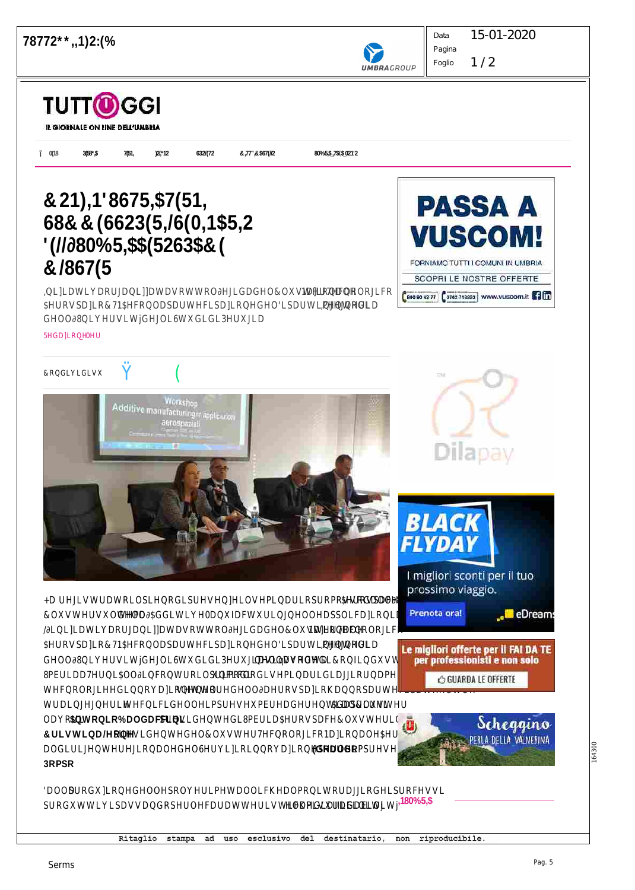

Data

Foglio

<span id="page-4-0"></span>



800 90 42 77 C 0742 718833 WWW.VUSCOM.It





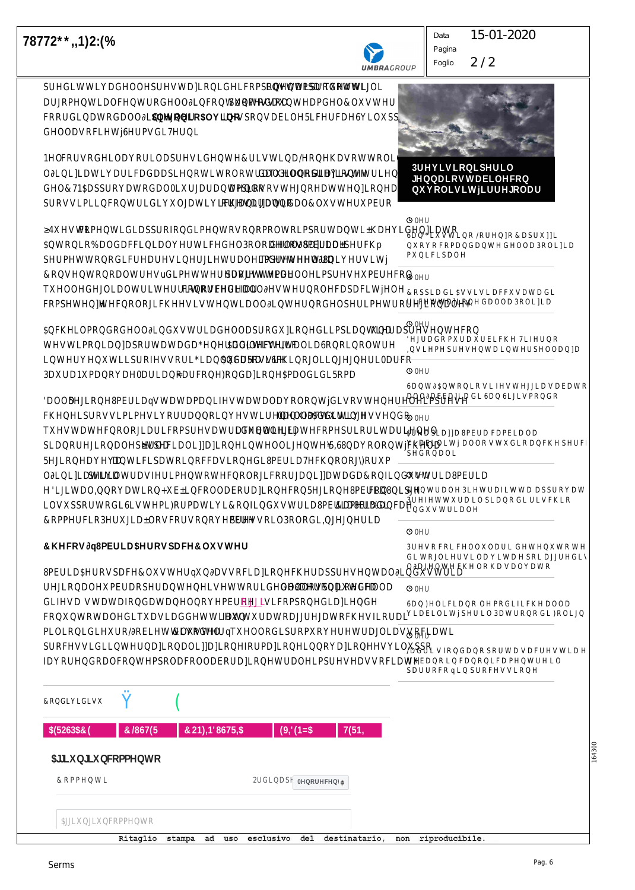

2 / 2 Foglio

Data

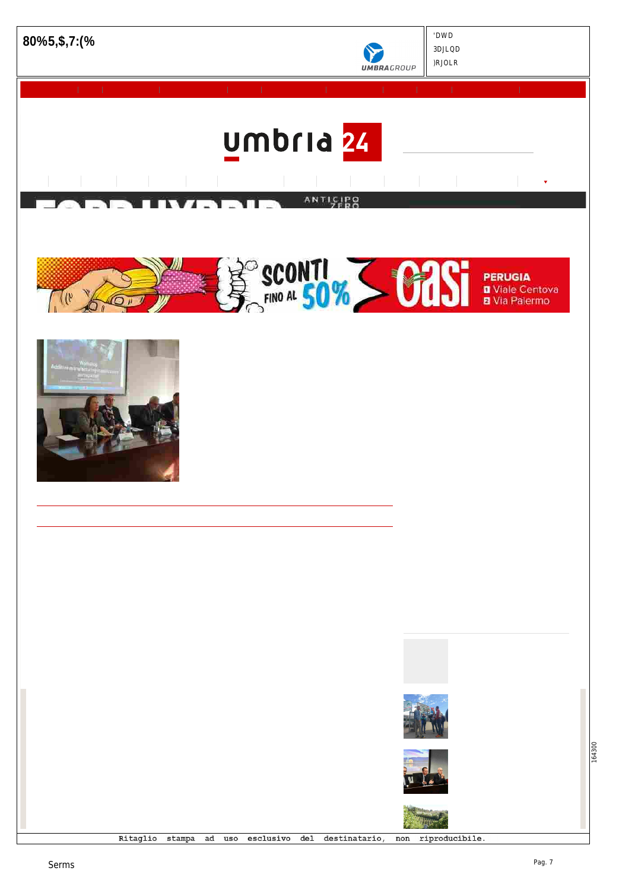<span id="page-6-0"></span>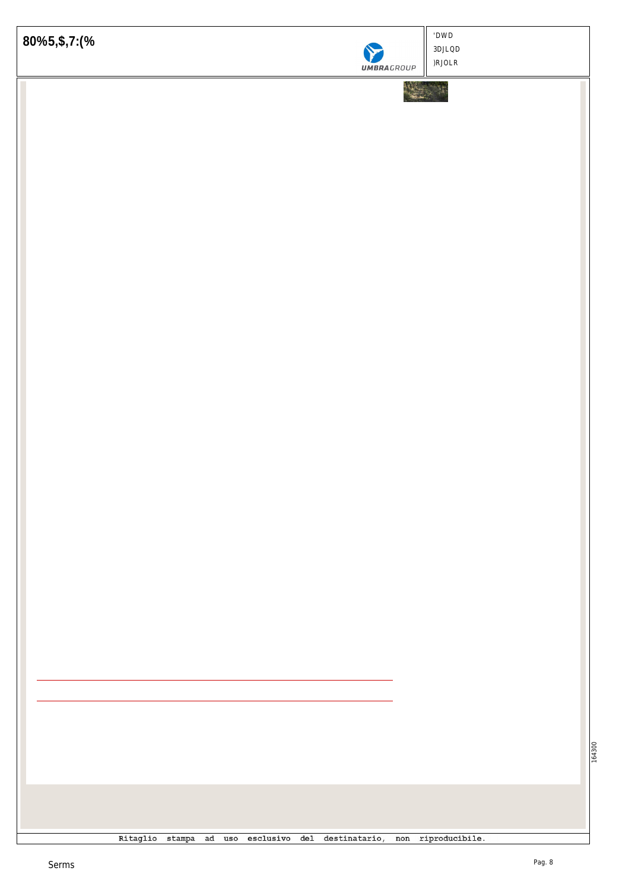

VRWWROLQHDWR FRPH O¶LQL]LDWLYD ULFD SLHQR WLWROR I GL DILRQH WULHQQDOH GHO &WQD DSSURYDWR GDO PLQLVWHUR H DWWHQ]LRQH DL SURVVLPL LQFRQWUL GLYXOJDWLYL FKH VDUDQ XPEUR ©4XHVWL PRPHQWL GL DSSURIRQGLPHQWR VRQR PROWR LP: HYLGHQ]LDWR \$QWRQLR %DOGDFFLQL DO YHUWLFH GHO 3ROR DH SHUFKP SHUPHWWRQR GL FUHDUH VLQHUJLH WUD OH LPSUHVH H V & RQVHQWRQR DOWUHVu GL PHWWHUH D VLVWHPD L SURJHWWL GH GHJOL DOWUL WHUULWRUL H GL IDU FRQRVFHUH DOO¶HVWHUQR C WHFQRORJLFKH HVLVWHQWL DOO¶LQWHUQR GHO SHULPHWUR UHJI

> , WHSQFKH LO PRQGR GHOO¶LQGXVWULD GHOOD SURGXILRQH GL LPSLDQWL HUD SUHVHQWH FRQ XQD WHVWLPRQLDQID SRUWD GD \*HQHUDO (OHFWULF \$GGLWLYH, WDOLD 6RQR LQROWUH LQWHUYHQXWL L SURIHVVRU \*LDQOXFD 5RVVL H \$QGUHD 'L 6FKLQR JOL LQJHJQHUL ODUFR 3DXUD 1XPDQRYD H ODULDQR = DUFRQH ) RQGD]LRQH \$PDOGL GL 5RPD 'DOOD 5HJLRQH 8PEULD q VWDWD

PDQLIHVWDWD OD YRORQWI GL VRVWHQHUH OH LPSUHVH FKH QHL LQYHVWLUH QHOO¶\$GGLWLYH ODQXIDFWXULQJ HVVHQGR TXHVWD TXHOOH JLJ LGHQWLILFDWH FRPH SULRULWDULH QHO SLDQR UHJL µVSHFLDOL||D|LRQH LQWHOOLJHQWH¶ 5,6 8QD YRORQW| FKH OD DQWLFLSDWR LQ RFFDVLRQH GL 8PEULD 7HFKQRORJ\ )RUXP O¶LQL WUDVIHULPHQWR WHFQRORJLFR RUJDQL]]DWD GD &RQILQGXVWULD , QQRYDWLRQ +XE ± LQ FROODERUD]LRQH FRQ 5HJLRQH 8PEULD 8Q GL 6LVWHPL ) RUPDWLYL & RQILQGXVWULD 8 PEULD 8EL % DQFD H & D 3HUXJLD ± OR VFRUVR QRYHPEUH SUHVVR LO 3ROR GL, QJHJQHUL

8 PEULD \$HURVSBP FEU&LODX \$P MWH RVSDFH & OXVWHU q XQ ¶DVVRFLD]LRQH UDSSUHVHQWD O¶LQGXVWULD UHJLRQDOH XPEUD RSHUDQWH QHL GHOOR VSDILR H GHOOD GLIHVD Ê VWDWD IRQGDWD QHO QRYHPE DILHQGH FRQ XQ WRWDOH GL TXDVL GL DGGHWWL H XQ IDW VILRUD L PLOLRQL GL HXUR / TRELHWWLYR GHO & OXVWHU q TX JOL DVVRFLDWL SURFHVVL GL LQWHUQD]LRQDOL]]D]LRQH IRUPD]L VYLOXSSR IDYRUHQGR DO FRQWHPSR OD FROODERUD]LRQH WUD

 $821'$ ,  $9$ ,  $'$ ,

, FRPPHQWL VRQR FKLXVL

Ritaglio stampa ad uso esclusivo del destinatario, non riproducibile.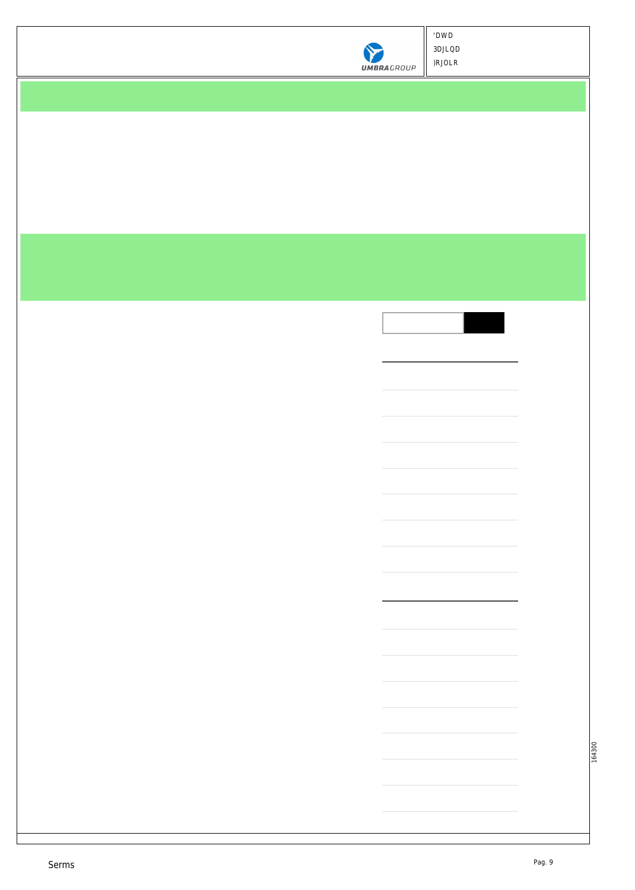### <span id="page-8-0"></span>80%5, \$&521\$&\$, 7



 $- + 8 (* 440 - 9 < .99 * 7)$ 

#### $.3):897.8$   $8*74858?.81*$  8  $9*73. .3;*,3*7.$  $.25$  $:3.7*78.9f$  &  $(43+74394)$

 $($  J W  $\vdash$ 9 J W S N LJSSFNT -F WJLNXYWFYT NQ UNJST IN UWJXJS\_J NQ XJRNBE WH + I W N J UWTRTXXT IFQQÙ:RGWNE<br>&JWTXUFHJ (QZXYJW XZQ YJRF IJQQÙ&IINYN[YWTSFHF 2FSZKFHYZWNSL SJQQJ FUUQNHF\_NTSN FJYLJYLJWFWHFQN 1 UNSN\_NFYN[F TWLFSN] FYF XTYYT QUJLNIF IJQ. HQZYKHY 9JHSTQTLNHT 3F\_NTSFQJ

& JWTXUF\_NT (93& J HTS QF UFWYJHNUF\_NTS J LAQ ) NUFWYNRJSYT IN SLJLSJWNF IJQQÙ:SN[JWXNY£ IJLQN 8YZIN IN\_5JWZLNF\_XN « X[TQYF SJQQF IN (TSKNSIZXYWNF : RGWNF F 9JWSN & QQÙNS! STRFWT X BYHN PART IN ZS HNH XJRNSFWN IN FLLNTWSFRJSYT XZ YJHSTQTLNL JI NSSTIF\_NTSJ SJQ XJYYTWJ IJQQÙFJWTXUF\_NT MFSST UFWYJHNUFYT TQY\\QqNY\\MFNSLJLSJWN JYJHSN IJQQJ NRUWJXJ ZRGWJ FIJWJSYN FQ (QZXYJW & FUWNWJ N QFITWN & SYTSN 'FQIFHHNSN UWJXNIJSYJIN:RGWNF&JWTXUF&HUT (AQQZXYJW NSXNJRJF (WNXYNSF 1JTSJ UWJXNIJSYJ IJQ (QZXYJW 9JHSTQTLNHT 3F\_NTSFQJ & JWTXUF\_NT J FQ INWNLJSYJ WJLNTSFQJ IJQ 8JW[N\_NT NSST[F\_NTSJ UJW Q & W H M N J N NRUWJXJ \*ITFWIT 5TRUT

) FQQF UWTIZ\_NTSJ IJQQJ UTQ[JWN RJYFQQNHMUS BRNATSNYTWFLLNT IJN UWTHJXXN UWTIZYYNIN UFXXFSIT UJW QJ HF-WEYY-JWNXYNHMJ-IN-FKKNIFGN RNXZWFGNQNY£ UWJINYYN[F IJQQJ UWJXYF\_NMSHNJRJ3WHJTRUTSJSYN UWTITYYI XYFRUF ) VZJXYN LQN FWLTRJSYN FQ HJSYW<del>T IJQQÙNSHTSYWT -</del>RJXXT F UZSYT IF ZS YJFR IJQ (QZXYJW HTTWINSFYT ISTQQBOSSUJLSJW & SYTSNT &Q[NST WJXUTSXFGNQJ 7NHJWHF J 8[NQZUUT IJQQF XTHNJY£ 8JWRX IN 9JW 3JQ HTWXT IJN QF[TWN QF UWJXNIJSYJ (WNXYMSFGWJSJ MF XTYYTQNSJFYT QÙNSN\_NFYN|F WNHFIF F UNJST YNYTQT YWF-VZJQQ<del>J UWJ{NXYJ IF</del>Q 5NFST IN YWNJSSFQJ IJQ (93& FUUWT[FYT IFQ 2NZW LAWYSJRGWJFRUNT XTXYJLST J FYYJS\_NTSJ FN UWTXXNRN NSHTSYWN IN[ZQ<del>LFYN[N HMJ XFWFSS</del>T TWLFSN] 164300 IFQ (QZXYJW ZRGWT **FLTXYT** 

Û6ZJXYN RTRJSYN IN FUUWTKTSINRJSYT XTST RTOYT NRUTWYFSYN Ö MF J[NIJS\_NFYT & SYTSNT 'FQIFHHNSN FQ [JWYNHJ IJQ 5TQT FJWTXUF\_NFQJ **IJQQÙ:RGWNF Ö UJWHM- UJWRJYYTST IN HWJEWWYYSJWLNJ YWF QJ NRUWJX** YWF VZJXYJ J QÙ: SNIJWXNY£ (TSXJSYTST FQYWJX<sup>-</sup> IN RJYYJWJ F XNXYJRF N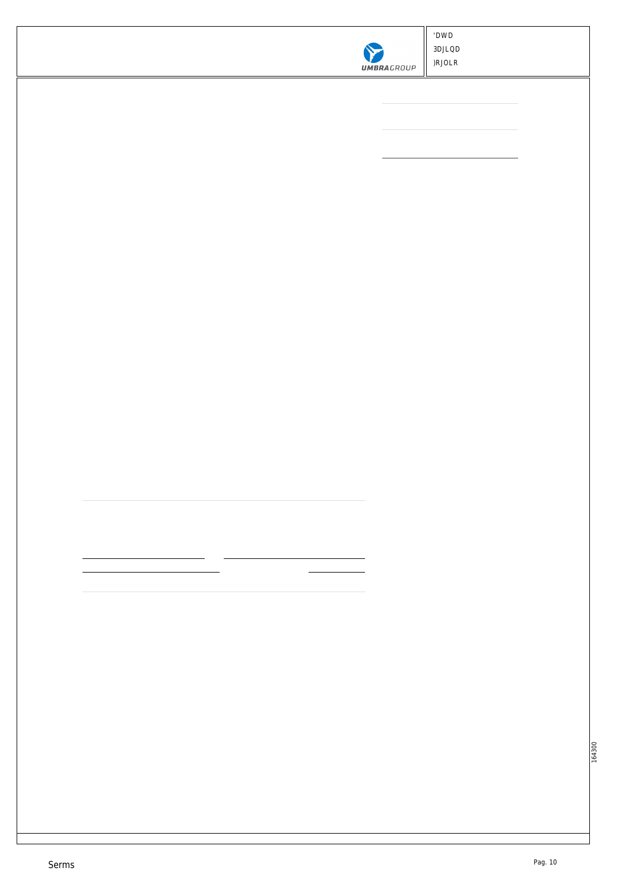

UWTLJYYN IJQQJ NRUWJXJ ZRGWJ HTS VZJQQL LINOP FQYWN YJWWNYTWN J LUMHNJITOTER IN ALUTITI LO L 3YNHEIDE I RULYXLÚDOT LWLHXTZTH UXNXYJSYN FQQUNSYJWST IJQ UJWNRJYWT WJHNHJSFGWY & SHMJ NQ RTSIT IJQQÙNSIZXYWNF IJQQF UWTIZ\_NTSJ IN NRUNFSYN JWF UWJXJSYJ HTS ZSF YJXYNRTSNFS\_F UTWYFYF IF, JSJWFQ \*QJHYWNH &IINYN[ YFQNF 8TST NSTQYWJ NSYJW[JSZYN N UWTK3ZXFWWNTNRSUQYZHFWTNXN J&SI 8HMNST LQN NSLJLSJWN 2FWHT 5FZWF 3ZRFST|F J 2FWNFST ?FWHTSJ +TSIF\_NTSJ &RFQIN IN 7TRF

)FQQF 7JLNTSJ :RGWNF « XYFYF RFSNKJXYFYF QF [TQTSY£ IN XTXYJSJWJ QJ NRUWJXJ HMJ SJN UWTXXNRN RJXN [TWWFSST NS[JXYNWJ SJQQÙ&IINYN[J 2FSZKFHYZWNSL JXXJSIT VZJXYF YJHSTQTLNF WNHTRUWJXF YWF VZJQQJ L NIJSYNKNHFYJ HTRJ UWNTWNYFWNJ SJQ UNFST WJLNTSFQJ UJW QF :SF [TQTSY£ HMJ QF 7JLNTSJ ÛXUJHNFQN\_\_F\_NTSJ NSYJQQNLJSYJÜ 7.8 FIJIF FSYNHNUFYT NS THHFXNTSJ IN : RGWNF 9JHMSTQTL^ + TWZR QÙNSN\_NF UJW NQ YWFXKJWNRJSYT YJHSTQTLNHT TWLFSN\_\_FYF IF (TSKNSIZXYWNF :R J)NLNYFQ .SST|FYNTS -ZG Ö NS HTQQFGTWF\_NTSJ HTS 7JLNTSJ :RGWNF : SNUL J HTS NQ XZUUTWYT IN 8NXYJRN + TWRFYN [N (TSKNSIZXYWNF : RGWNF : GN 'FSHF J (FRJWF IN (TRRJWHNT 5JWZLNF Ö QT XHTWXT ST[JRGWJ UWJXXT NQ 5TQT IN . SLJLSJWNF

(MJ HTXÙ«:RGWNF &JWTXUFHJ (QZXYJW :RGWNF &JWTXUFHJ (QZXYJW « ZSÙFXXTHNF\_NTSJ HMJ WFUUWJXJSYF QÙNSIZXYWNF WJLNTSFQJ ZRGWF TUJWFSYJ SJN XJYYTWN IJQQÙFJWTSFZYN XUF\_NT J IJQQF INKJXF < XYFYF KTSIFYF SJQ ST[JRGWJ J TLLN XN F\_NJSIJ HTS ZS YTYFQJ IN VZFXN FIIJYYN J ZS HTRUTSJ IN KFYYZWFYT FLLWJLFYT HMJ XKNTWF N RNQNTSN IN JZWT 1ÙTGNJYYN[T I (QZXYJW « VZJQQT IN UWTRZT[JWJ YWF LQN FXXTHNFYN UWTHJXXN IN NSYJWSF\_NTSFQN\_\_F\_NTSJ KTWRF\_NTSJ NSST[F\_NTSJ J X[NQZUUT KF[TW, FQ HTSYJRUT QF HTQQFGTWF\_NTSJ YWF QJ NRUWJXJ FXXTHNFYJ

**&WYNHTQT UWJHJIJSYJ** 

5WTXXNRT & WYNHTOT

888.8. : 3& 841: ?. 43\* 9 FW XHN FST : SF SZT [F LT [ J W SF SH J  $8(81*24'.1.).54798.3:4;8$ XZQQF INXFGNQNY£

& WYNHTQN HTWWJQFYN

& NTIFSSN (FW20FTWYXPHNNFGST : S& FB 8.8. : 3& 5 W J R N T ' J F Y T & Z L L F Q L T | J W S F & 4 H J ? . 4 3 \* 5 \* 7 XZQQF INXFGN&QM&YL\$24'.1.).  $547983:4:8$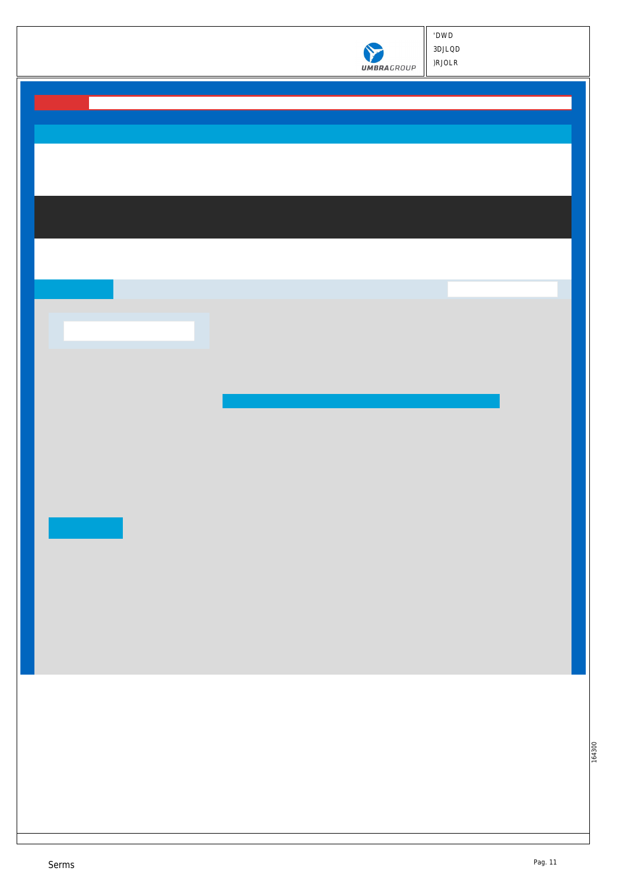<span id="page-10-0"></span>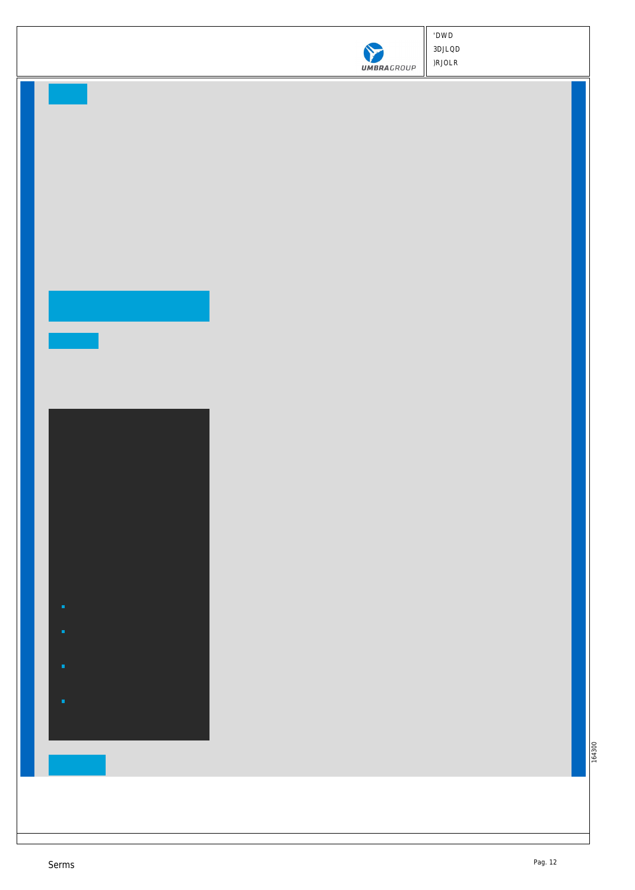

 $C$  6 G

G 7PKXGTUKV.



 $5 & 71.$ \$ 7/% 4 \$ \$//á0á564\$<  $27\%$ %.á&\$ 8á..\$7/%4\$

5 á & \$

'KRGPFGPVK 2C IGPPCKQ EQTUQ C 7ODTC UWN EQFKI EQORQTVCOGPVQ

'LSHQGHQWL 3D LO  $JH$ 9LOOD 8PEUD VXO FRGLFI FRPSRUWDPHQWR 3(58\*.\$ &RQIRUPDUH OD SURSULI SULQFLSL FRVWLWX]LRQI DQGDPHQWR H GL LPSDU' DFFHWWDUH UHJDOL 3UH QHOOD 3XEEOLFD \$PPLQL  $\omega$ 

- **5GTXK\K UQEKCNK G VG** IKQTPCVC HQTOCVKXC C
- OWQXQ CPPQ HQTOCVKX FQOCPK G IKQXGF© EQT G UGTXK\K UQEKCNK
- **5EWQNC 7ODTC**  $R$  O I OKNC QTG FK CNVC HQ RGT NC 2C ^ 8KFGQ
- DI OTOCIKQPG 2C PWQXQ CRTG EQP CORKC QHHG 8KNNC 7ODTC

 $8 + 15640$ 

1HO FRUVR GHL ODYRUL OD SUHVLGHQWH &ULVWL OËLQL]LDWLYD ULFDGD D SLHQR WLWROR WUD TXH GHO & 71\$ DSSURYDWR GDO 0LXU JDUDQWHQGR DF SURVVLPL LQFRQWUL GLYXOJDWLYL FKH VDUDQQR

'DOOD SURGX]LRQH GHOOH SROYHUL PHWDOO SURGXWWLYL SDVVDQGR SHU OH FDUDWWHUL PLVXUDELOLW¢ SUHGLWWLYD GHOOH SUHVWD VWDPSD ' TXHVWL JOL DUJRPHQWL DO FHQW GD XQ WHDP GHO & OXVWHU FR \$10,00 KCQDLWR R\$60 BHLO YORKE D.( SLFHUFD H 6YLOXSSR GHOOD VRFLHW¢ 6HUPV GL 7

Í4XHVWL PRPHQWL GL DSSURIRQGLPHQWR VRQR PI \$QWRQLR %DOGDFFLQL DO YHUWLFH GHO 3ROR DH SHUPHWWRQR GL FUHDUH VLQHUJLH WUD OH LPSUH & ROVHOWROR DOWUHV® GL PHWWHUH D VLVWHPD TXHOOH GHJOL DOWUL WHUULWRUL H GL IDU FRQRV FRPSHWHQ]H WHFQRORJLFKH HVLVWHQWL DOOËLQ\

\$QFKH LO PRQGR GHOOËLQGXVWULD GHOOD SURG) XQD WHVWLPRQLDQJD SRUWDWD GD \*HQHUDO (OHF LQWHUYHQXWL L SURIHVVRUL \*LDQOXFD 5RVVL H \$ 3DXUD 1XPDQRYD H 0DULDQR = DUFRQH )RQGD]LF

'DOOD 5HJLRQH 8PEULD <sup>a</sup> VWDWD PDQLIHVWDWD O FKH QHL SURVVLPL PHVL YRUUDQQR LQYHVWLUH Q TXHVWD WHFQRORJLD ULFRPSUHVD WUD TXHOOH JI SLDQR UHJLRQDOH SHU OD IVSHFLDOL||D|LRQH LQ 5HJLRQH DYHYD DQWLFLSDWR LQ RFFDVLRQH GL 81 SHU LO WUDVIHULPHQWR WHFQRORJLFR RUJDQL]]D ,QQRYDWLRQ +XE È LQ FROODERUD]LRQH FRQ 5HJI VXSSRUWR GL 6LVWHPL )RUPDWLYL &RQILQGXVWUI &RPPHUFLR 3HUXJLD È OR VFRUVR QRYHPEUH SUH'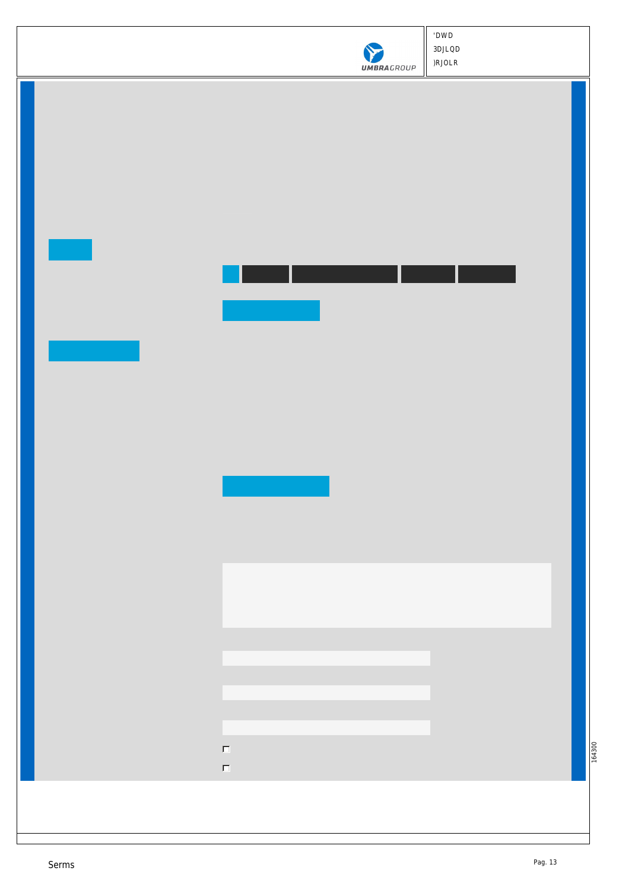| $80\%5$ , $$-2851\%$ / $820$ : (%                                              | <b>UMBRA</b> GROUP                                                                                                                                                                                                                                                                                                                                                                                                                                                                                                                                     |
|--------------------------------------------------------------------------------|--------------------------------------------------------------------------------------------------------------------------------------------------------------------------------------------------------------------------------------------------------------------------------------------------------------------------------------------------------------------------------------------------------------------------------------------------------------------------------------------------------------------------------------------------------|
| $) 1 4$ á 0 á<br>5614á ( 'á & 10) <sup>á0</sup> (                              | & KH FRVÉ" 8 PEULD \$HURVSDFH & OXVWHU<br>8PEULD \$HURVSDFH & OXVWHU <sup>a</sup> XQËDVVRFLD]LRQH<br>UHJLRQDOH XPEUD RSHUDQWH QHL VHWWRUL GHO(<br>GLIHVD Š VWDWD IRQGDWD QHO QRYHPEUH<br>H.<br>XQ WRWDOH GL TXDVL DGGHWWL H XQ IDWWXU<br>GL HXUR /ËRELHWWLYR GHO &OXVWHU <sup>a</sup> TXHOOR G<br>GL LQWHUQD]LRQDOL]]D]LRQH IRUPD]LRQH LQQR\<br>FRQWHPSR OD FROODERUDJLRQH WUD OH LPSUHVH<br>/K RKCEG<br>& D U L F D P H Q W R<br>$, 1'8675,$ \$ $(5263$ \$ = $,$ \$<br>$, 1$ $*$ ( $*$ 1 ( $5$ ,<br>, 035(6()<br>81, 9(56, 7€<br>\$46á&1.á &144(.\$6á |
| Oï á TCEEQPVK Ã 2K<br>& CORQ NKDTQ UWN<br>EJKGUC EQUVTWKV(<br>/KNNG UW TGUVK G | \$TGC ETKUK 6G1 7PKXGTUKV• FK<br><b>1NVTG WP OKNK</b><br>DTGXG DWQPG F KUETKVVK KP E1 OKNC GWTQ RG1<br><b>NG KORTGUG</b><br>4GVVQTG ) TCPE KORTGUG \$WVQI<br>/QTKEQPK CVVC<br>ETGC\KQPG FÆK<br>& 1 / / (06\$ 2 (4 24 á /<br>CUEKC WP EQOOGPVQ<br>/ LQGLUL]]R HPDLO QRQ VDU¢ SXEEOLFDWR<br>& R P P H Q W R<br>1RPH                                                                                                                                                                                                                                      |
| 2CUSWCNG 5QNKPC<br>KPFKOGPVKECVQ E(<br>FKGEK CPPK FCNNC<br>IGPPCKQ WP TKEQ1    | (0DLO)<br>$H$ EVLWH<br>F6DYH P\QDPH HPDLO DQG ZHEVLWH LQ WKLV EURZVHU<br>F \$YYHUWLPL YLD HPDLO LQ FDVR GL ULVSRVWH DO PLR F                                                                                                                                                                                                                                                                                                                                                                                                                           |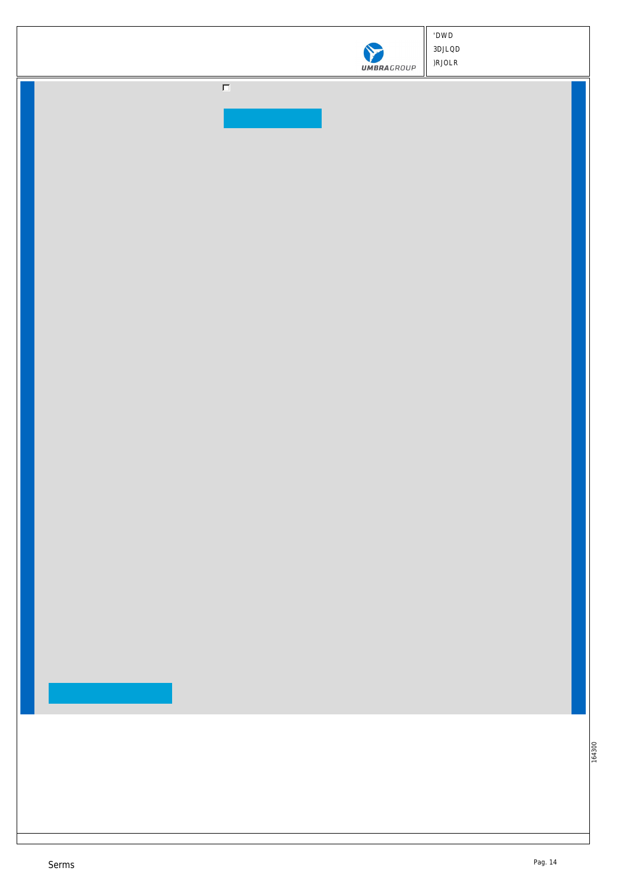



**F SYYHUWLPL YLD HPDLO DOOD SXEEOLFDJLRQH GL XQ QX** 

38%%/,&\$,/&200(

### á UCPFCNK KPHTCF CPVKEC KN OGTKVQ CINK (IK\KCPK

5RKTKFKQPG KN 5C FGK RGUECVQTK FG 6TCUKOGPQ

OÏ á TCEEQPVK Ã .G 2GTWIKC RTGUGPV NKDTQ IKQXGF© ( \*CNNGPIC

2 (4 . \$ 81564\$ 27%%<mark>.</mark> á&á6 ·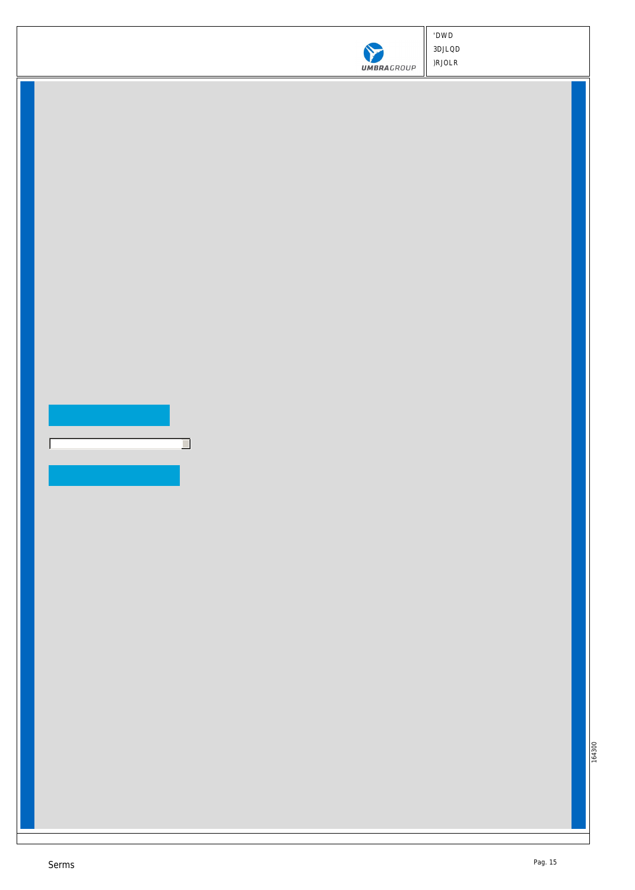# $80\%5$ ,  $$-2851\%$ /  $820$  : (%



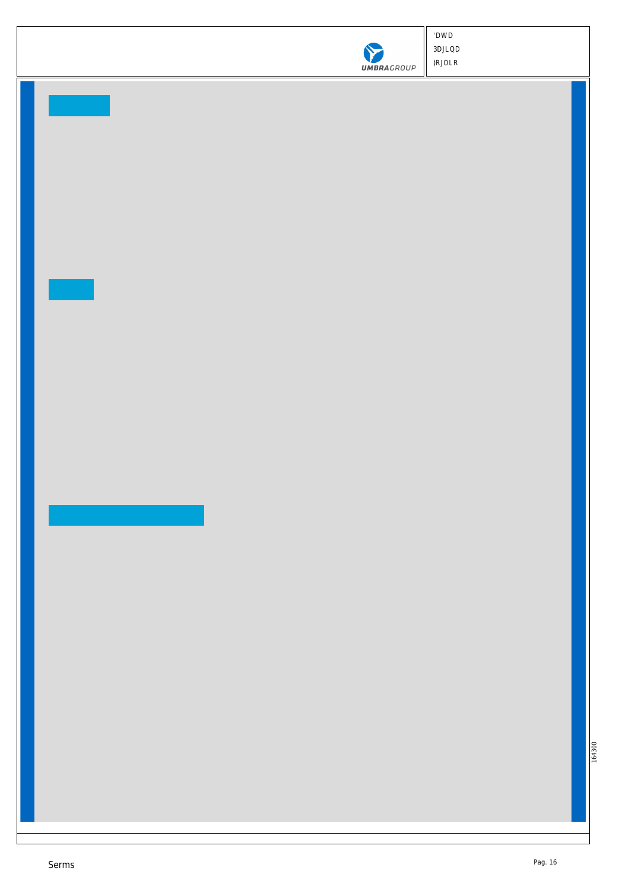/K RKCEG

'LSHQGHQWL 3D LO JHQQ 8PEUD VXO FRGLFH FRPSRU 3(58\*, \$ È & RQIRUPDUH OD S FRQGRWWD DL SULQFLSL FI DQGDPHQWR H GL LPSDU]LD DFFHWWDUH UHJDOL 3UHYF 3XEEOLFD \$PPLQLYW@D]LRQ

'KRGPFGPVK 2C KN EQTUQ C 8KNNC 701 EQFKEG EQORQTVC

 $5871.$   $\overline{7/%4\$$   $\frac{6}{9}/404564$   $\frac{26}{9}$   $\frac{40}{9}$ 

 $5 \land 2$ ;

% \$6\$ \$76

 $80\%5$ ,  $$-2851\%$ /  $820$  : (%

Y UMBRAGROUP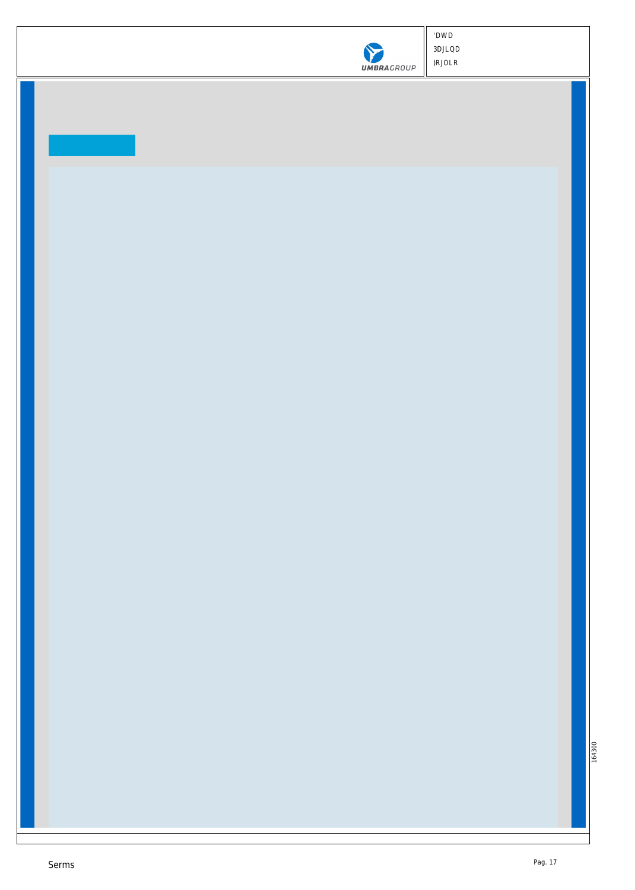# $80\%5$ ,  $$-2851\%$ /  $820$  : (%



& D U L F D P H Q W R

\$46á&1.á 4(&(06á

| <i><b>á PHTCUVTV</b></i><br>SNVC 7ODT<br>%KCIKQNK<br>È%GPG<br>NÆKPVGTG<br>4GIKQPG I<br>FKCNQIQ C<br>EQP K UKP | á P F W U V T K (<br>CGTQURC\K<br>6GTPK KPI(<br>KORTGUG (<br><b>7PKXGTUK\</b>                       | 0 W Q X Q<br>QURGFCNG<br>\$OGNKC L.<br>FGN 2CTVK<br>UQEKCNKUT<br>KVCNKCPQ                          | & Q U V C P \ C<br>.CNKUEKC<br>) ( á<br>(PFWTCPE)<br>PI 4KFGT 9<br>4CPMKPI                       |
|---------------------------------------------------------------------------------------------------------------|-----------------------------------------------------------------------------------------------------|----------------------------------------------------------------------------------------------------|--------------------------------------------------------------------------------------------------|
| /KEJGNG<br>%GVVCTGN<br>8GTKPK X<br>GUUGTG NO<br>UQNW\KQP<br><b>RTQDNGOC</b><br>RCTVKVQ"                       | /CPEKPK C<br>) GFGTHCTC<br><b>HCTOCEKG</b><br>VGTTKVQTK<br>HQPFCOGP<br>RGT UCNWY                    | 'QXG UQPC<br>UCTFKPG<br>RGTWIKPG'<br>& J K G F Q P Q<br>FK 2GTWIK<br>UQEKCN EF<br>$\wedge$ ) Q V Q | <b>7UD UW UC</b><br>GFWECVKX<br>6GTPK OC<br><b>SOOKPKUV</b><br>G EQP EJK                         |
| % WNNKUOC<br>TCICIIQ UV<br>HQUUG XK'<br>PQP NQ FK<br>C PGUUWP                                                 | & CRCPPG<br><b>VTQXCVK</b><br>VGNGHQPK<br>FGVGPWVQ<br>KN UWKEKF<br>UCNXCVQ F<br>INK CIGPVK          | /CIKUVTCVI<br>CTTKXQ CP<br>7ODTKC U<br>CNNCTICPC<br>RKCPVG<br>QTICPKEJG                            | 5HQNNCVK<br>FGINK \$TT<br>EQOWPG E<br>KORGIPQ C<br>OQPKVQTC<br>UKVWC\KQI                         |
| 8KCNG & GF<br>XKC NCXQ1<br>CTGC ECPK<br>PWQXC<br>IGPGTC\KQ                                                    | $5GTXK\$<br>6GTPK INK<br><b>KPEQPVTK</b><br>EQOKPEGT<br><b>IGPPCKQ</b>                              | OWQXC NW<br>NC NCRKFC<br>8CNPGTKPC<br>TKEQTFC .I<br>.KDGTCVK                                       | ) NCOKPKC<br>WPKVK<br>TKSWCNKHI<br>UVTCFC UC<br><b>IGPPCKQ</b>                                   |
| <b>SIITGUUKQ</b><br>UCPIWKPC1<br>) Q P V K X G I I<br>HQTUG WP<br><b>TGIQNCOG</b><br>EQPVK WP                 | È'QPKCOQE<br>RTQIGVVQ<br>WPKUEG NO<br><b>CUUQEKC\M</b><br>XQNQPVCT<br>WODTG                         | á P V G T X K G F<br>4GIKQPG 1<br>KN RTQDN(<br><b>FGNNG RC1</b><br>NCIQ 6TCU                       | \$UUGUUQT<br>/QTTQPK<br>TKWPKUEG<br>XGTFG CX<br>EQPHTQPV<br>EQUVTWVV                             |
| 2TGUKFGP\<br>6GUGK IKQ<br>IGPPCKQ K<br>XKUKVC WH<br>6GTPK                                                     | (UQTFKQ C<br>RGT KN 2G<br>& Q U O K<br>UEQPHKVV<br>FWG C \GT<br>0CRQNK                              | /GUUC KP (<br>QRGTCVQT<br>UCPKVCTK<br>%GVVCTGN<br>XGTKHKEC <sup>-</sup><br><b>KP CNVTG</b>         | <b>5KT 5CHGV</b><br>4KEEK ES<br>UCT. FWTC<br>XQINKCOQ<br>RTQUGIWKT<br>UVTKUEKC<br>RQUKVKXC       |
| .C. GIC<br><b>TKURQPFG</b><br>UWNNG PQ<br>FKTGVVQTI<br>UCPKV.                                                 | /QFKHKEJG<br><b>ETKVGTK E</b><br>RQRQNCTK<br>QWPF E%C<br>UGTXG URK<br>RK¶ UWK T<br><b>FGINK KOO</b> | / 5 E\$OKCF<br>KP 7ODTKC<br>FK OKNK<br><b>DQPKHKEC</b><br>UEWQNG G<br>QURGFCNK                     | %CTVQEEKI<br>) Q T V K P H K L<br><b>TKRTGUC</b><br><b>KPHTCUGVV</b><br>G CN 2CN(<br>CTTKXC & JI |
| <b>AOFTCPIJG</b><br>7ODTKC V<br><b>FGN DCT</b><br>$FGNNÆ+KP$<br>FGK 2QPVK<br>NKDGTQ                           | %WUVCRG<br>2TKUEQ G<br>)Fá É'CN<br>*QXGTPQ<br>NÆGPPGUK<br>DGHHC CK<br>VGTTGOQV                      | ,QWTPCN C<br>*CUVTKE 5'<br>OGTEQNGF<br><b>IGPPCKQ</b><br>RTGUGPVC                                  | $\lt$ W E E J G T K F<br>TGCNK\\C\F<br>FGN %WU<br>6GTOKPCN<br>/CTEQ C 2G                         |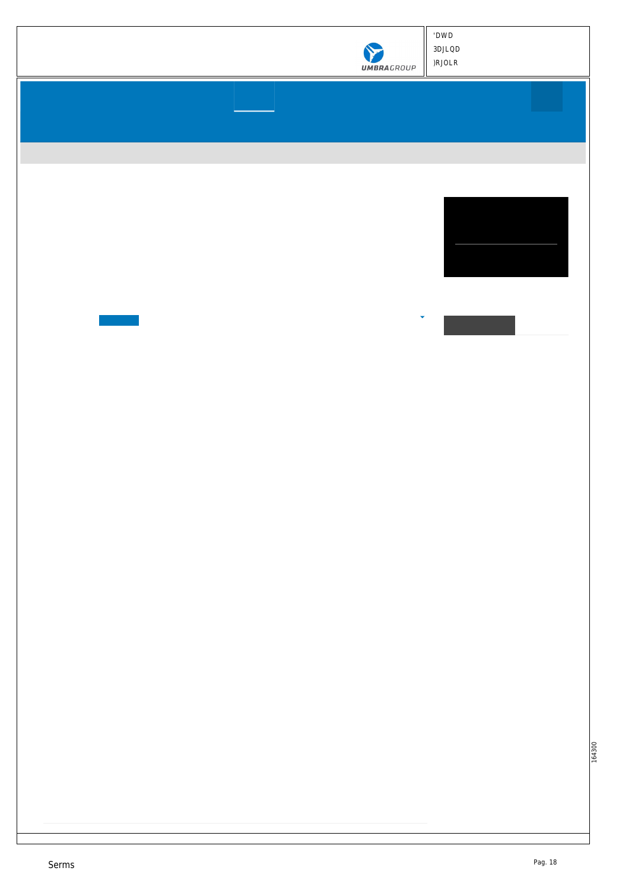## <span id="page-17-0"></span> $80\%5.$ \$127. = . (: (%.7



<span id="page-17-2"></span>3\$\*,1\$35.1&,3\$/(32/,7,&\$\$778\$/,7-(82120,\$88/785\$8521\$8\$(9(17,63257\*,251\$/('(/\*,2

#### & 217\$77,

# , Q G X V W U L D D H U R V S D ] L D O H LPSUHVH H 8QLYHUVLW j D F SRWHQILDOLWI H FULWLFLWI DGGLWLYD

" 5HGD]L<mark>! (FRQR</mark> ‡

\*HQQDLR

<span id="page-17-1"></span> $8/7.0.$  \$57.&  $3.\hat{O}$  /(77.

7M Ú ZIVMJMG

E KYEVHEVI

 $SSTQ$ 

<u>. E Z E 7 G V M T X</u>

**IVVSVI** 

 $4VSTF$ 

**EXXMZE** 

L

R

**SUHVHQ** TÔ VHPLODI 81: (% 7HUQL +D UHJLVWUDWR LO SLHQR GL GDOO 18 PEULD \$HURVSDFH & OXVWHU VXO WHPPO FULLO Q SOWYLYH \$0DC DSSOLFDILRQL DHURVSDILDOL /¶LQLILDWLYD <sup>3</sup>RUDUQQKUID V8DOKWYWYR ( THEQRORILER 1DILRQDOH SHURVSDILR & 71\$0 H CHOOR BOUWLAND SHURVELS<br>LSDUWLPHQWR GL, QJHJQHULD GHOO¶8QLYHUYGLAND WHOL BWXGL'S XQ FLFOR GL VHPLQDUL GL DJJLRUQDPHQWR VX WHFQRORJLH HG L VHWWRUH GHOO¶DHURVSDILR KDQQR SDUWHFLSDWR ROWUH **WILD** GHOOH LPSUHVH XPEUH DGHUHQWL DO &OXVWHU

81: (% & LWW; GL & DYRUL \$QWRQLR %DOGDFFLQL SUHVLGHQWH GL & RHEHULP PUDDR WSWRFFT & C SUHVLGHQWH GHO &OXVWHU 7HFQRORJLFR 1D]LRQDOH \$HURVSD]LRGHO000\*LGGUVDJHWQWGPQHHJL **IHUURYLDULD** OH LPSUHVH (GRDUGR 3RPSR

ιροορ surgx] LRQH GHOOH SROYHUL PHWDOOLFKH DO PRQLWBYDWYLB GHGRSURF<br>FDUDWWHULVWLFKH GL DIILGDELOLWj H OD PLVXUDELOLWj SUHGLW₩LV@LGLOOHJ@NUYWD]I 

1HO FRUVR GHL ODYRUL OD SUHVLGHQWH &ULVWLQD /HRQH KD VRWWROLQHDWR FRPH O¶LO SUHYLVWH GDO 3LDQR GL D]LRQH WULHQQDOH GHO &71\$ DSSURYDWR GDO 0LXU JDUDQWH DL SURVVLPL LQFRQWUL GLYXOJDWLYL FKH VDUDQQR RUJDQL]]DWL GDO &OXVWHU XPEUR

34XHVWL PRPHQWL GL DSSURIRQGLPHQWR VRQR PROWR LPSRUWDQW1L(% KHDJCHlYLAGHJQJLVDWVR 3ROR DHURVSD]LDOH GHOO¶8PEULD ± SHUFKp SHUPHWWRQR GL FUHDUMH9LCAPUYLCHQ PUUDSOH & RQVHQWRQR DOWUHVU GL PHWWHUH D VLVWHPD L SURJHWWL GHGQQT8PEULD \$HURVSDFH {H FRQRVFHUH DOO¶HVWHUQR OH FDSDFLWJ H OH FRPSHWHQJH WHFQRORJLFKH HVLVWHQWL DI

SQFKH LO PRQGR GHOO¶LQGXVWULD GHOOD SURGX]LRQH GL LPSLDQ&WRVHWUDQ\$DUHNBOQWFHLFRQ VH<del>E</del>RRAGQYKRQWEDQ<br>D.V.VLILFD.P.RQGLD \*HQHUDO (OHFWULF \$GGLWLYH ,WDOLD 6RQR LQROWUH LQWHUYHQX<sup>QQ</sup>H ҂Ҏ҆҆ҏ LQJHJQHUL 0DUFR 3DXUD 1XPDQRYD H 0DULDQR = DUFRQH )RQGD]LRQH

'DOOD 5HJLRQH 8PEULD q VWDWD PDQLIHVWDWD OD YRORQWj GL VRVWHQHUH OH LPSUHVH LQYHVWLUH QHOO¶\$GGLWLYH 0DQXIDFWXULQJ HVVHQGR TXHVWD WHFQRORJLD ULFRPSUHV SULRULWDULH QHO SLDQR UHJLRQDOH SHU OD 3VSHFLDOL]]D]LRQH LQWHOOLJHQWH'  $5.6$ DQWLFLSDWR LQ RFFDVLRQH GL 8PEULD 7HFKQRORJ\)RUXP O¶LQL]LBURPRURGHSHOL\OLYUDRYIHI &RQILQGXVWULD 8PEULD H 'LJLWDO,QQRYDWLRQ +XE ± LQ FROODERHDJGGBOANLOGQ'SHLLKQH GL 6LVWHPL ) RUPDWLYL & RQILQ GXVWULD 8PEULD 8EL % DQFD H & DPAUOD GL & RPPHUFLR 3HU SUHVVR LO 3ROR GL, QJHJQHULD

& KH FRV¶q 8PEULD \$HURVSDFH & OXVWHU

8 PEULD \$HURVSDFH & OXVWHU q XQ ¶DVVRFLD]LRQH FKH UDSSUHVHQWD O ¶LQGXVWULD UHJL 164 GHOO¶DHURQDXWLFD GHOOR VSD]LR H GHOOD GLIHVD Ê VWDWD IRQGDWD QHO QRYHPEUH DILHQGH FRQ XQ WRWDOH GL TXDVL DGGHWWL H XQ IDWWXUDWR DJJUHJDWR FKH VILI / RELHWWLYR GHO &OXVWHU q TXHOOR GL SURPXRYHUH WUD JOL DVVRFLDWL SURFHVVL GL LQQRYD]LRQH H VYLOXSSR IDYRUHQGR DO FRQWHPSR OD FROODERUP. ILRASHRUHDRAHOLPLSUH 32/06 OD 00 & ROWHPSRIIDII)

&RPSDQ\ SUHVHQWD GRPHO

**GRPHQLFD** 

**3RHPV D ODJLF** 

JHQQD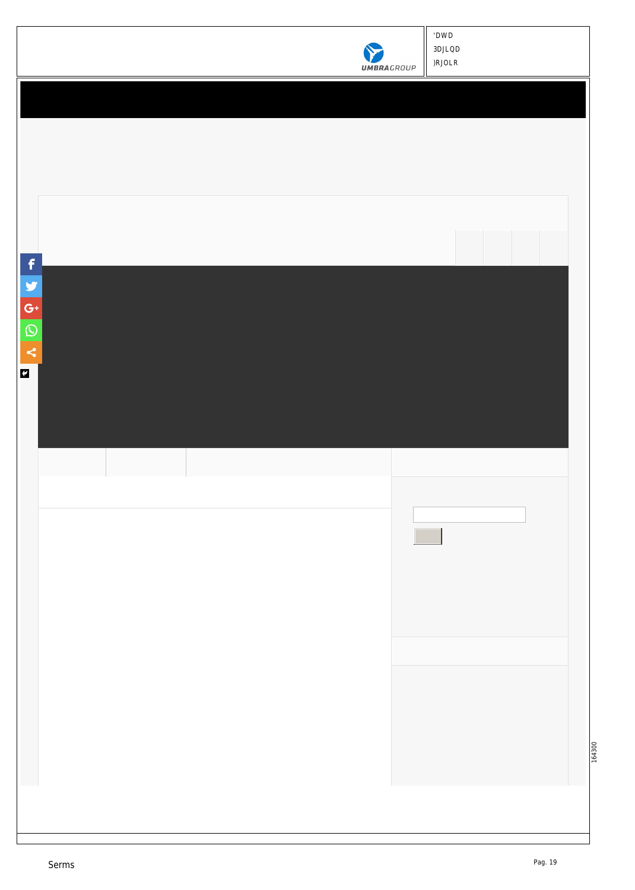<span id="page-18-0"></span>

|                                                                                                                                                                                                                                                                                                                      |                                                                                                                                                                                                                                                                                                                                                                                                                                                                                                                                                                                           |         |             | <b>MBRA</b> GROUP |                               |              |
|----------------------------------------------------------------------------------------------------------------------------------------------------------------------------------------------------------------------------------------------------------------------------------------------------------------------|-------------------------------------------------------------------------------------------------------------------------------------------------------------------------------------------------------------------------------------------------------------------------------------------------------------------------------------------------------------------------------------------------------------------------------------------------------------------------------------------------------------------------------------------------------------------------------------------|---------|-------------|-------------------|-------------------------------|--------------|
| $\blacksquare$<br>Ë                                                                                                                                                                                                                                                                                                  | ÍE Í E                                                                                                                                                                                                                                                                                                                                                                                                                                                                                                                                                                                    | ËË<br>Ë | 2N          | Ë E               | $>$ . Í EËEËË                 | $\mathbf{E}$ |
|                                                                                                                                                                                                                                                                                                                      |                                                                                                                                                                                                                                                                                                                                                                                                                                                                                                                                                                                           |         |             |                   |                               |              |
|                                                                                                                                                                                                                                                                                                                      |                                                                                                                                                                                                                                                                                                                                                                                                                                                                                                                                                                                           |         |             |                   | /GTEQNGF© *GPPCKQ             |              |
| + Q O G \$ V V W C N & T @ P C E & W N V   W T ( )E Q P Q Q K C 1 R K P K Q P & N K V K S F Q Q Y V ) Q V Q 8 K F G Q                                                                                                                                                                                                |                                                                                                                                                                                                                                                                                                                                                                                                                                                                                                                                                                                           |         |             |                   |                               |              |
|                                                                                                                                                                                                                                                                                                                      |                                                                                                                                                                                                                                                                                                                                                                                                                                                                                                                                                                                           |         |             |                   |                               |              |
| á PFWUVTKC CGTQURC\KCNG                                                                                                                                                                                                                                                                                              |                                                                                                                                                                                                                                                                                                                                                                                                                                                                                                                                                                                           |         |             |                   |                               |              |
| C EQPHTQPVQ C 6GTPK                                                                                                                                                                                                                                                                                                  |                                                                                                                                                                                                                                                                                                                                                                                                                                                                                                                                                                                           |         |             |                   |                               |              |
| 5WEEGUUQ RGT KN UGOKPCTKQ QTICPK\\CVQ<br>FCNNÆ7ODTKC \$GTQURCEG &NWUVGT RTGUUQ NC UGFG                                                                                                                                                                                                                               |                                                                                                                                                                                                                                                                                                                                                                                                                                                                                                                                                                                           |         |             |                   |                               |              |
| FK & QPHKPFWUVTKC                                                                                                                                                                                                                                                                                                    |                                                                                                                                                                                                                                                                                                                                                                                                                                                                                                                                                                                           |         |             |                   |                               |              |
|                                                                                                                                                                                                                                                                                                                      |                                                                                                                                                                                                                                                                                                                                                                                                                                                                                                                                                                                           |         |             |                   |                               |              |
|                                                                                                                                                                                                                                                                                                                      |                                                                                                                                                                                                                                                                                                                                                                                                                                                                                                                                                                                           |         |             |                   |                               |              |
|                                                                                                                                                                                                                                                                                                                      |                                                                                                                                                                                                                                                                                                                                                                                                                                                                                                                                                                                           |         |             |                   |                               |              |
| Ë                                                                                                                                                                                                                                                                                                                    | É                                                                                                                                                                                                                                                                                                                                                                                                                                                                                                                                                                                         |         |             |                   | <b>&amp;GTEC KP WODTKC1P</b>  |              |
|                                                                                                                                                                                                                                                                                                                      | 4                                                                                                                                                                                                                                                                                                                                                                                                                                                                                                                                                                                         |         |             |                   | $*$ $\acute{I}$ $\acute{E}$ @ |              |
| 5; % 8484 58@87<br>$\ddot{E}$ $\ddot{E}$                                                                                                                                                                                                                                                                             |                                                                                                                                                                                                                                                                                                                                                                                                                                                                                                                                                                                           |         | Ë Ë^ Ì & HU |                   |                               |              |
| $($ ËÍ "E E Ë ^Ë EËÍE<br>$\ddot{\mathsf{E}}\qquad \ddot{\mathsf{E}}\quad \ddot{\mathsf{E}}\quad \mathsf{S}\quad \wedge\qquad \ddot{\mathsf{E}}\quad \ddot{\mathsf{E}}\quad ?\qquad \ddot{\mathsf{E}}\quad \ddot{\mathsf{E}}\quad \ddot{\mathsf{E}}\quad \qquad \wedge\quad \ddot{\mathsf{E}}\qquad \qquad \text{''}$ |                                                                                                                                                                                                                                                                                                                                                                                                                                                                                                                                                                                           |         |             |                   | $\overline{4}$                |              |
| Ë                                                                                                                                                                                                                                                                                                                    | Ë Ë Ë B"ËC Í Ë Ë Í Ë<br>Ë ^E Ï) EË? O Ë Ë                                                                                                                                                                                                                                                                                                                                                                                                                                                                                                                                                 |         |             | Ë                 | $\overline{4}$                |              |
| ÌËË >(^Í ? EÍÍ Ë<br>$\ddot{\mathsf{E}}\qquad \qquad \ddot{\mathsf{E}}\qquad \qquad \mathsf{E}\qquad \dot{\mathsf{I}}\qquad \qquad \qquad \ddot{\mathsf{E}}\qquad \qquad \ddot{\mathsf{E}}\qquad \qquad$                                                                                                              |                                                                                                                                                                                                                                                                                                                                                                                                                                                                                                                                                                                           |         |             | $\wedge$ Ë        |                               |              |
| $\ddot{\mathsf{E}} \qquad \ddot{\mathsf{E}} \qquad \dot{\mathsf{I}} \qquad \ddot{\mathsf{E}} \qquad \qquad = 4 \qquad \ddot{\mathsf{E}} \qquad \qquad \qquad \dot{\mathsf{I}} \qquad \dot{\mathsf{I}} \qquad \dot{\mathsf{I}}$<br>Ë ËÍE >(Ë Ë ( 'ËËÍÍ?                                                               |                                                                                                                                                                                                                                                                                                                                                                                                                                                                                                                                                                                           |         |             |                   | 'QEWOGPVK                     |              |
| - 一日 - 一日                                                                                                                                                                                                                                                                                                            | $\begin{array}{cccccccccccccccccc} \textbf{\textit{i}} & \textbf{\textit{i}} & \textbf{\textit{i}} & \textbf{\textit{i}} & \textbf{\textit{i}} & \textbf{\textit{i}} & \textbf{\textit{i}} & \textbf{\textit{i}} & \textbf{\textit{i}} & \textbf{\textit{i}} & \textbf{\textit{i}} & \textbf{\textit{i}} & \textbf{\textit{i}} & \textbf{\textit{i}} & \textbf{\textit{i}} & \textbf{\textit{i}} & \textbf{\textit{i}} & \textbf{\textit{i}} & \textbf{\textit{i}} & \textbf{\textit{i}} & \textbf{\textit{i}} & \textbf{\textit{i}} & \textbf{\textit{i}} & \text$<br>$?$ $\ddot{E}$ ) > |         |             | Ë                 |                               |              |
| á EQPVGPWVK                                                                                                                                                                                                                                                                                                          |                                                                                                                                                                                                                                                                                                                                                                                                                                                                                                                                                                                           |         |             |                   |                               |              |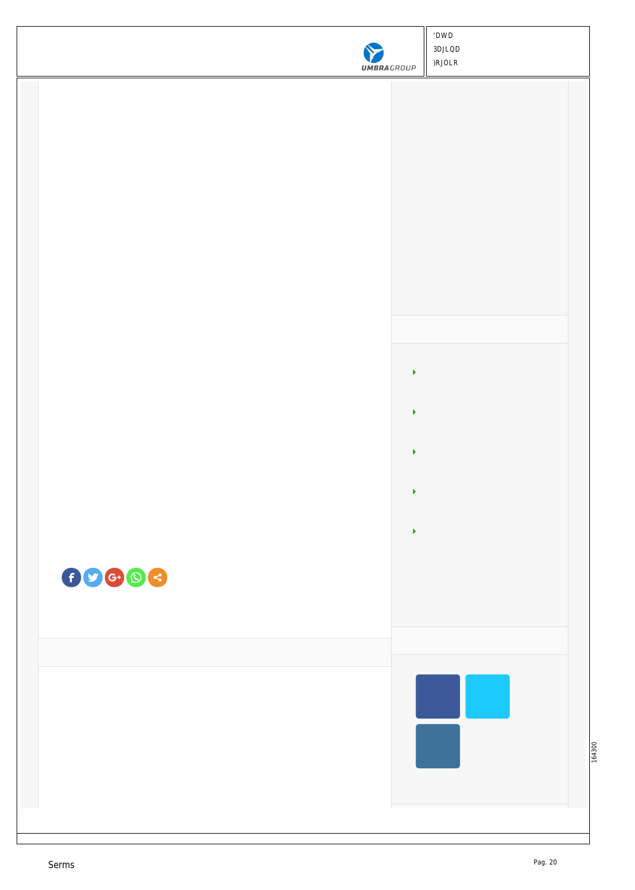## 80%5.\$21.7



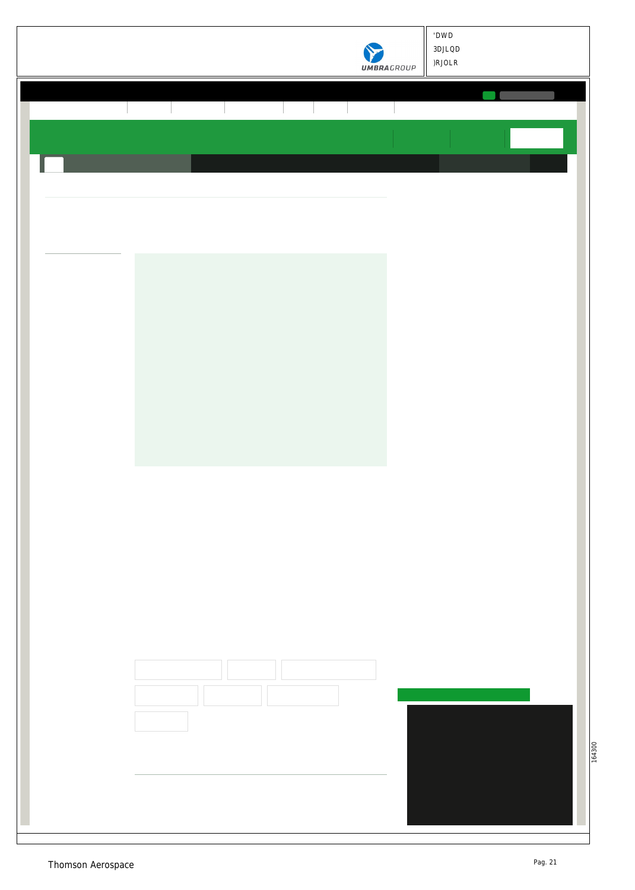<span id="page-20-0"></span>